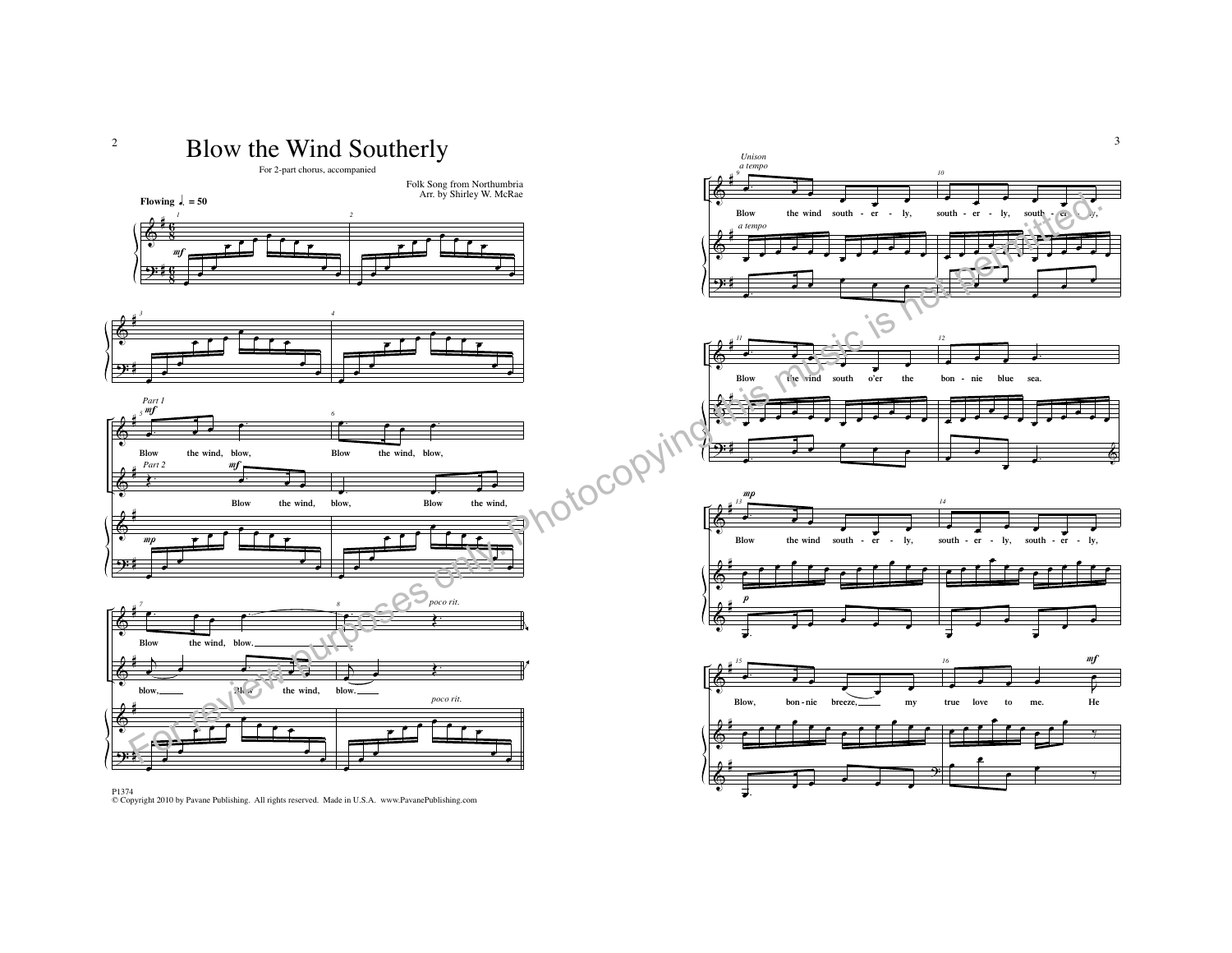

P1374 © Copyright 2010 by Pavane Publishing. All rights reserved. Made in U.S.A. www.PavanePublishing.com



3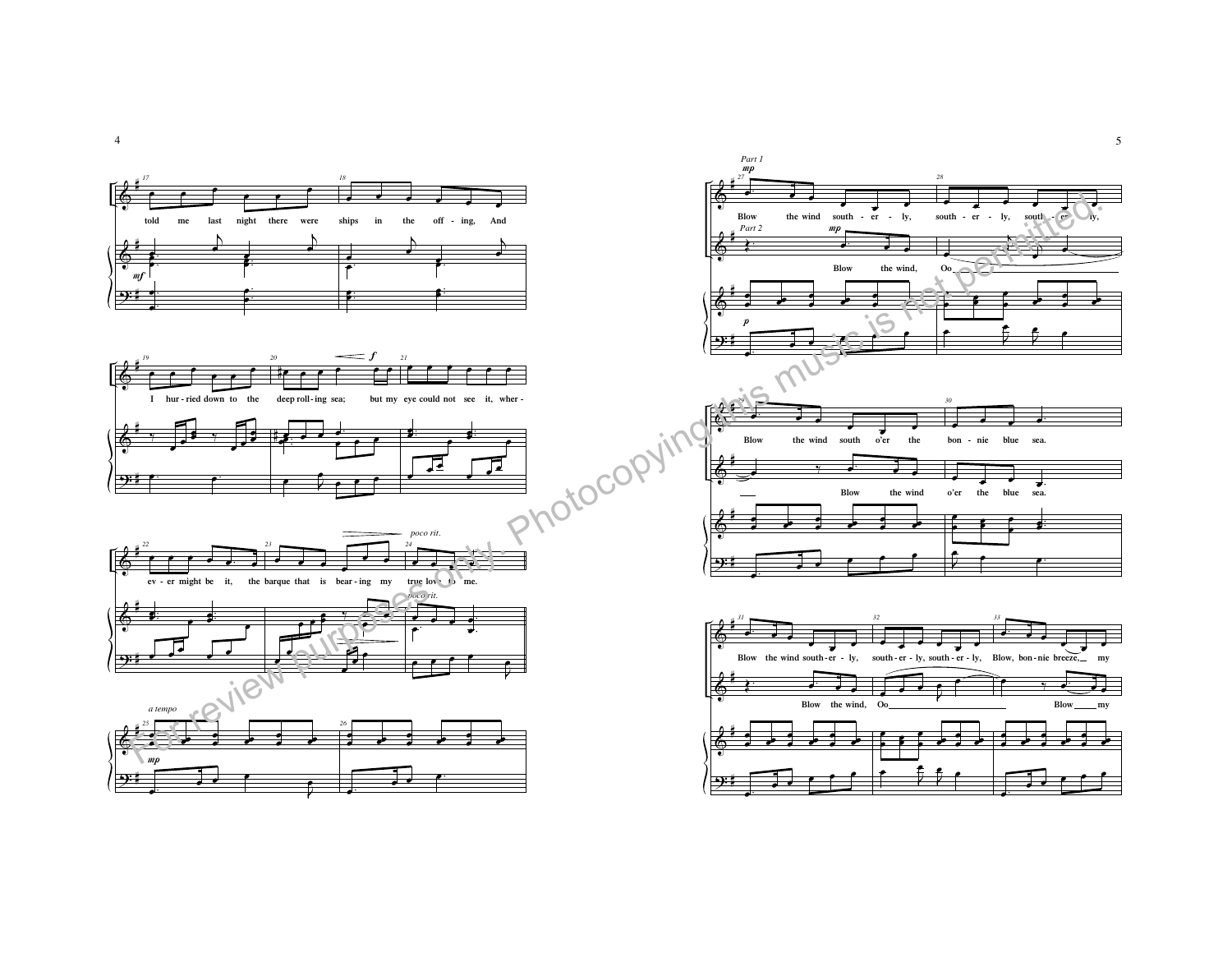

œ



œ

œ

 $\overline{\phantom{a}}$ 

œ

j œ









œ.

œ.

4

œ

5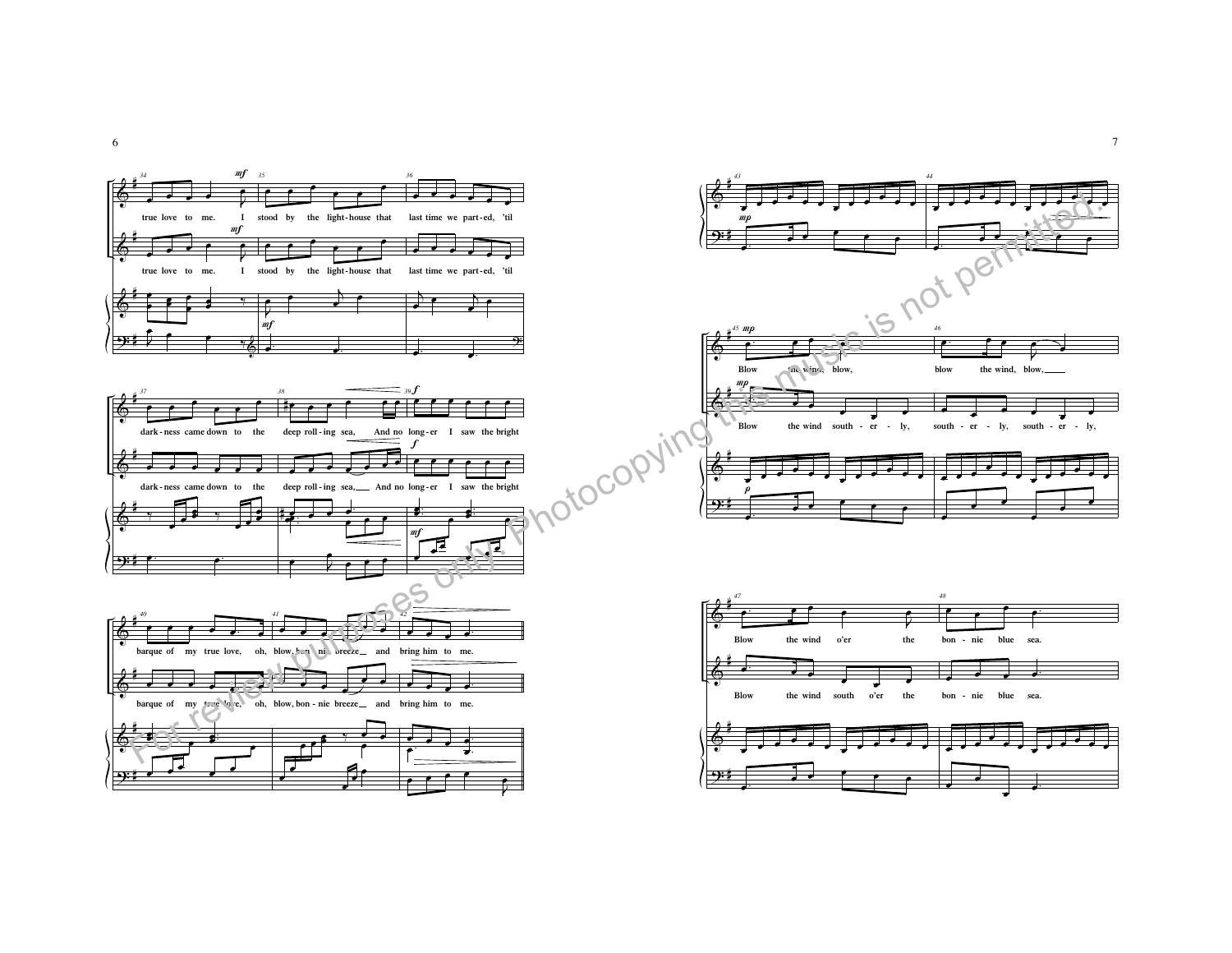